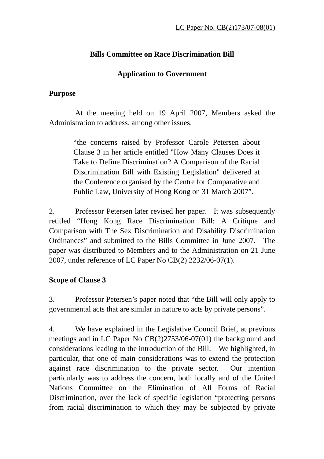## **Bills Committee on Race Discrimination Bill**

### **Application to Government**

### **Purpose**

 At the meeting held on 19 April 2007, Members asked the Administration to address, among other issues,

> "the concerns raised by Professor Carole Petersen about Clause 3 in her article entitled "How Many Clauses Does it Take to Define Discrimination? A Comparison of the Racial Discrimination Bill with Existing Legislation" delivered at the Conference organised by the Centre for Comparative and Public Law, University of Hong Kong on 31 March 2007".

2. Professor Petersen later revised her paper. It was subsequently retitled "Hong Kong Race Discrimination Bill: A Critique and Comparison with The Sex Discrimination and Disability Discrimination Ordinances" and submitted to the Bills Committee in June 2007. The paper was distributed to Members and to the Administration on 21 June 2007, under reference of LC Paper No CB(2) 2232/06-07(1).

# **Scope of Clause 3**

3. Professor Petersen's paper noted that "the Bill will only apply to governmental acts that are similar in nature to acts by private persons".

4. We have explained in the Legislative Council Brief, at previous meetings and in LC Paper No CB(2)2753/06-07(01) the background and considerations leading to the introduction of the Bill. We highlighted, in particular, that one of main considerations was to extend the protection against race discrimination to the private sector. Our intention particularly was to address the concern, both locally and of the United Nations Committee on the Elimination of All Forms of Racial Discrimination, over the lack of specific legislation "protecting persons from racial discrimination to which they may be subjected by private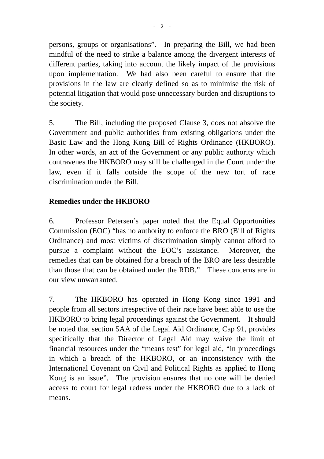persons, groups or organisations". In preparing the Bill, we had been mindful of the need to strike a balance among the divergent interests of different parties, taking into account the likely impact of the provisions upon implementation. We had also been careful to ensure that the provisions in the law are clearly defined so as to minimise the risk of potential litigation that would pose unnecessary burden and disruptions to the society.

5. The Bill, including the proposed Clause 3, does not absolve the Government and public authorities from existing obligations under the Basic Law and the Hong Kong Bill of Rights Ordinance (HKBORO). In other words, an act of the Government or any public authority which contravenes the HKBORO may still be challenged in the Court under the law, even if it falls outside the scope of the new tort of race discrimination under the Bill.

### **Remedies under the HKBORO**

6. Professor Petersen's paper noted that the Equal Opportunities Commission (EOC) "has no authority to enforce the BRO (Bill of Rights Ordinance) and most victims of discrimination simply cannot afford to pursue a complaint without the EOC's assistance. Moreover, the remedies that can be obtained for a breach of the BRO are less desirable than those that can be obtained under the RDB." These concerns are in our view unwarranted.

7. The HKBORO has operated in Hong Kong since 1991 and people from all sectors irrespective of their race have been able to use the HKBORO to bring legal proceedings against the Government. It should be noted that section 5AA of the Legal Aid Ordinance, Cap 91, provides specifically that the Director of Legal Aid may waive the limit of financial resources under the "means test" for legal aid, "in proceedings in which a breach of the HKBORO, or an inconsistency with the International Covenant on Civil and Political Rights as applied to Hong Kong is an issue". The provision ensures that no one will be denied access to court for legal redress under the HKBORO due to a lack of means.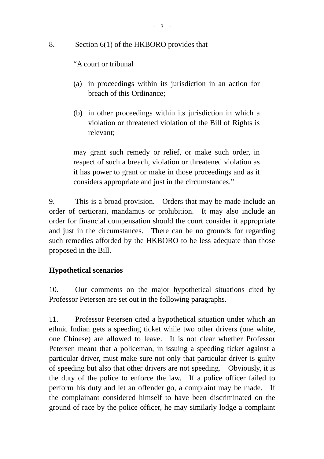8. Section 6(1) of the HKBORO provides that –

"A court or tribunal

- (a) in proceedings within its jurisdiction in an action for breach of this Ordinance;
- (b) in other proceedings within its jurisdiction in which a violation or threatened violation of the Bill of Rights is relevant;

may grant such remedy or relief, or make such order, in respect of such a breach, violation or threatened violation as it has power to grant or make in those proceedings and as it considers appropriate and just in the circumstances."

9. This is a broad provision. Orders that may be made include an order of certiorari, mandamus or prohibition. It may also include an order for financial compensation should the court consider it appropriate and just in the circumstances. There can be no grounds for regarding such remedies afforded by the HKBORO to be less adequate than those proposed in the Bill.

### **Hypothetical scenarios**

10. Our comments on the major hypothetical situations cited by Professor Petersen are set out in the following paragraphs.

11. Professor Petersen cited a hypothetical situation under which an ethnic Indian gets a speeding ticket while two other drivers (one white, one Chinese) are allowed to leave. It is not clear whether Professor Petersen meant that a policeman, in issuing a speeding ticket against a particular driver, must make sure not only that particular driver is guilty of speeding but also that other drivers are not speeding. Obviously, it is the duty of the police to enforce the law. If a police officer failed to perform his duty and let an offender go, a complaint may be made. If the complainant considered himself to have been discriminated on the ground of race by the police officer, he may similarly lodge a complaint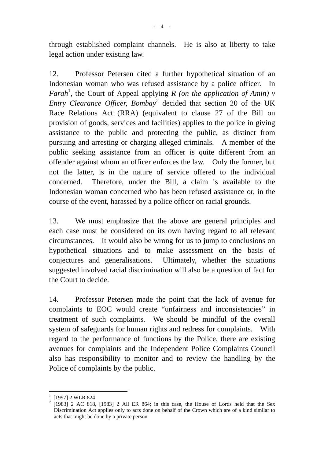through established complaint channels. He is also at liberty to take legal action under existing law.

12. Professor Petersen cited a further hypothetical situation of an Indonesian woman who was refused assistance by a police officer. In *Farah*<sup>1</sup>, the Court of Appeal applying *R (on the application of Amin) v Entry Clearance Officer, Bombay<sup>2</sup>* decided that section 20 of the UK Race Relations Act (RRA) (equivalent to clause 27 of the Bill on provision of goods, services and facilities) applies to the police in giving assistance to the public and protecting the public, as distinct from pursuing and arresting or charging alleged criminals. A member of the public seeking assistance from an officer is quite different from an offender against whom an officer enforces the law. Only the former, but not the latter, is in the nature of service offered to the individual concerned. Therefore, under the Bill, a claim is available to the Indonesian woman concerned who has been refused assistance or, in the course of the event, harassed by a police officer on racial grounds.

13. We must emphasize that the above are general principles and each case must be considered on its own having regard to all relevant circumstances. It would also be wrong for us to jump to conclusions on hypothetical situations and to make assessment on the basis of conjectures and generalisations. Ultimately, whether the situations suggested involved racial discrimination will also be a question of fact for the Court to decide.

14. Professor Petersen made the point that the lack of avenue for complaints to EOC would create "unfairness and inconsistencies" in treatment of such complaints. We should be mindful of the overall system of safeguards for human rights and redress for complaints. With regard to the performance of functions by the Police, there are existing avenues for complaints and the Independent Police Complaints Council also has responsibility to monitor and to review the handling by the Police of complaints by the public.

 $\overline{a}$ 

<sup>1</sup> [1997] 2 WLR 824

 $2$  [1983] 2 AC 818, [1983] 2 All ER 864; in this case, the House of Lords held that the Sex Discrimination Act applies only to acts done on behalf of the Crown which are of a kind similar to acts that might be done by a private person.